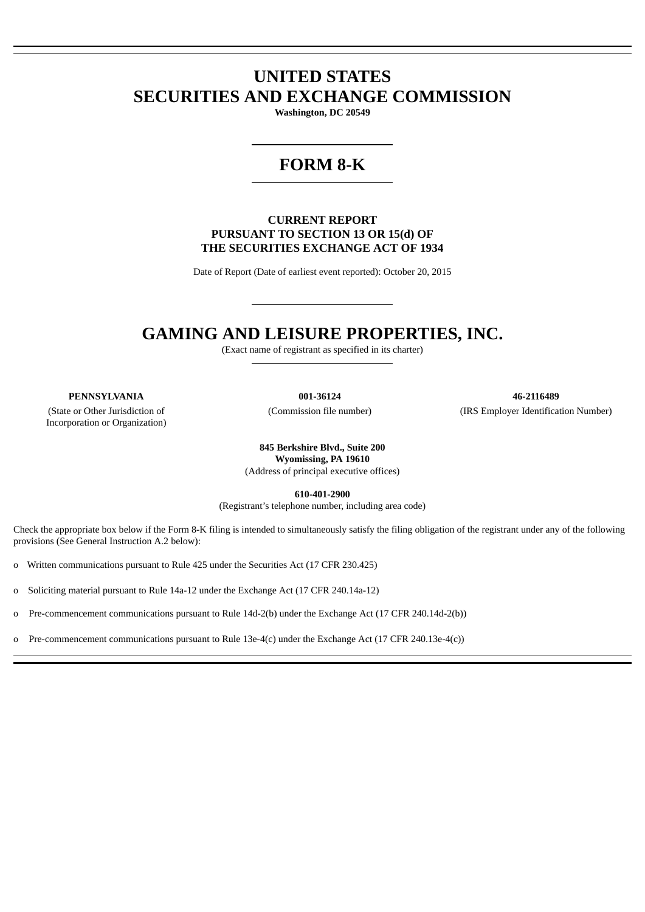# **UNITED STATES SECURITIES AND EXCHANGE COMMISSION**

**Washington, DC 20549**

## **FORM 8-K**

#### **CURRENT REPORT PURSUANT TO SECTION 13 OR 15(d) OF THE SECURITIES EXCHANGE ACT OF 1934**

Date of Report (Date of earliest event reported): October 20, 2015

## **GAMING AND LEISURE PROPERTIES, INC.**

(Exact name of registrant as specified in its charter)

(State or Other Jurisdiction of Incorporation or Organization)

**PENNSYLVANIA 001-36124 46-2116489** (Commission file number) (IRS Employer Identification Number)

> **845 Berkshire Blvd., Suite 200 Wyomissing, PA 19610** (Address of principal executive offices)

> > **610-401-2900**

(Registrant's telephone number, including area code)

Check the appropriate box below if the Form 8-K filing is intended to simultaneously satisfy the filing obligation of the registrant under any of the following provisions (See General Instruction A.2 below):

o Written communications pursuant to Rule 425 under the Securities Act (17 CFR 230.425)

o Soliciting material pursuant to Rule 14a-12 under the Exchange Act (17 CFR 240.14a-12)

o Pre-commencement communications pursuant to Rule 14d-2(b) under the Exchange Act (17 CFR 240.14d-2(b))

o Pre-commencement communications pursuant to Rule 13e-4(c) under the Exchange Act (17 CFR 240.13e-4(c))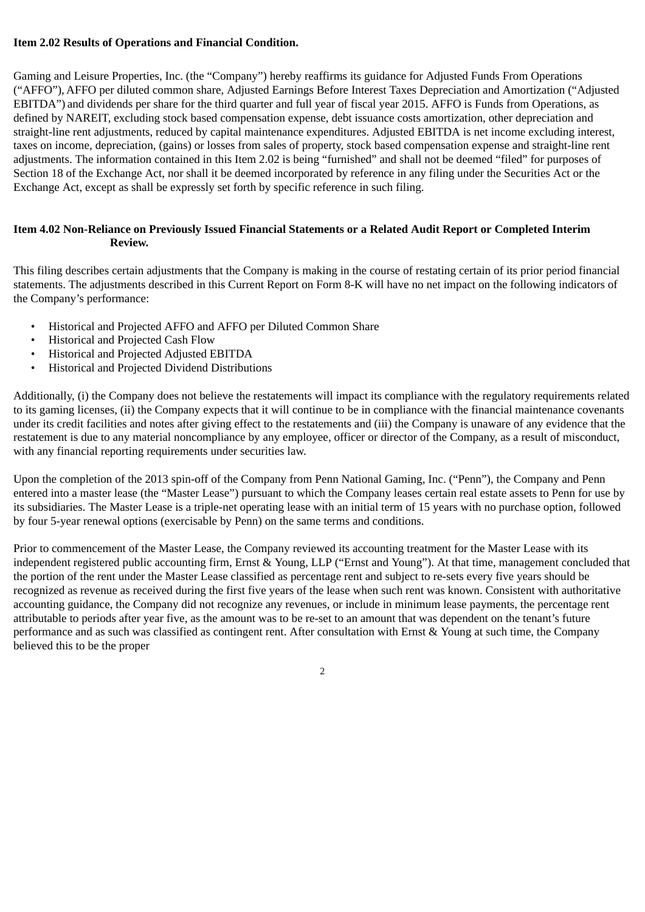### **Item 2.02 Results of Operations and Financial Condition.**

Gaming and Leisure Properties, Inc. (the "Company") hereby reaffirms its guidance for Adjusted Funds From Operations ("AFFO"), AFFO per diluted common share, Adjusted Earnings Before Interest Taxes Depreciation and Amortization ("Adjusted EBITDA") and dividends per share for the third quarter and full year of fiscal year 2015. AFFO is Funds from Operations, as defined by NAREIT, excluding stock based compensation expense, debt issuance costs amortization, other depreciation and straight-line rent adjustments, reduced by capital maintenance expenditures. Adjusted EBITDA is net income excluding interest, taxes on income, depreciation, (gains) or losses from sales of property, stock based compensation expense and straight-line rent adjustments. The information contained in this Item 2.02 is being "furnished" and shall not be deemed "filed" for purposes of Section 18 of the Exchange Act, nor shall it be deemed incorporated by reference in any filing under the Securities Act or the Exchange Act, except as shall be expressly set forth by specific reference in such filing.

### **Item 4.02 Non-Reliance on Previously Issued Financial Statements or a Related Audit Report or Completed Interim Review.**

This filing describes certain adjustments that the Company is making in the course of restating certain of its prior period financial statements. The adjustments described in this Current Report on Form 8-K will have no net impact on the following indicators of the Company's performance:

- Historical and Projected AFFO and AFFO per Diluted Common Share
- Historical and Projected Cash Flow
- Historical and Projected Adjusted EBITDA
- Historical and Projected Dividend Distributions

Additionally, (i) the Company does not believe the restatements will impact its compliance with the regulatory requirements related to its gaming licenses, (ii) the Company expects that it will continue to be in compliance with the financial maintenance covenants under its credit facilities and notes after giving effect to the restatements and (iii) the Company is unaware of any evidence that the restatement is due to any material noncompliance by any employee, officer or director of the Company, as a result of misconduct, with any financial reporting requirements under securities law.

Upon the completion of the 2013 spin-off of the Company from Penn National Gaming, Inc. ("Penn"), the Company and Penn entered into a master lease (the "Master Lease") pursuant to which the Company leases certain real estate assets to Penn for use by its subsidiaries. The Master Lease is a triple-net operating lease with an initial term of 15 years with no purchase option, followed by four 5-year renewal options (exercisable by Penn) on the same terms and conditions.

Prior to commencement of the Master Lease, the Company reviewed its accounting treatment for the Master Lease with its independent registered public accounting firm, Ernst & Young, LLP ("Ernst and Young"). At that time, management concluded that the portion of the rent under the Master Lease classified as percentage rent and subject to re-sets every five years should be recognized as revenue as received during the first five years of the lease when such rent was known. Consistent with authoritative accounting guidance, the Company did not recognize any revenues, or include in minimum lease payments, the percentage rent attributable to periods after year five, as the amount was to be re-set to an amount that was dependent on the tenant's future performance and as such was classified as contingent rent. After consultation with Ernst & Young at such time, the Company believed this to be the proper

2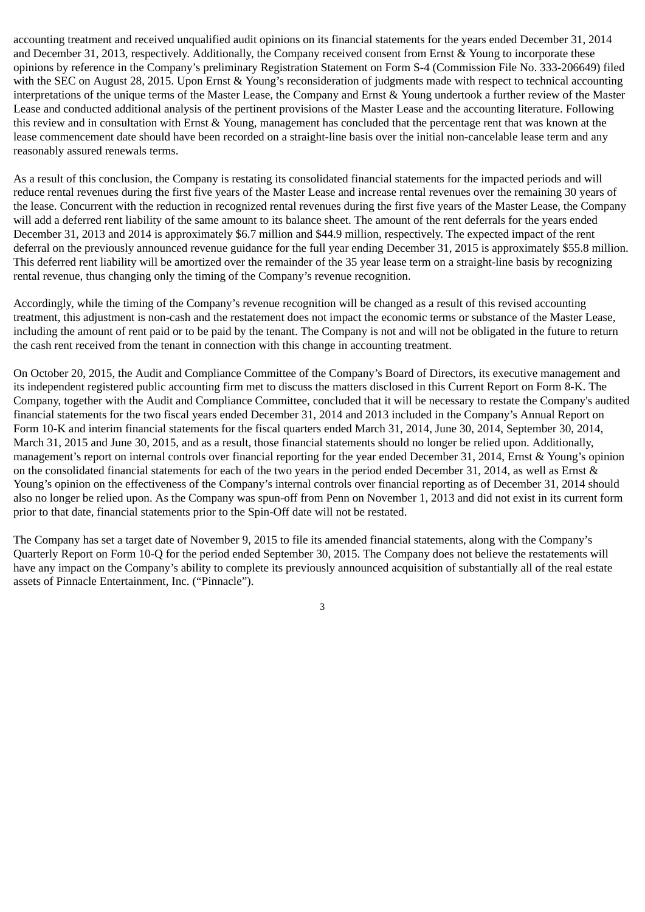accounting treatment and received unqualified audit opinions on its financial statements for the years ended December 31, 2014 and December 31, 2013, respectively. Additionally, the Company received consent from Ernst & Young to incorporate these opinions by reference in the Company's preliminary Registration Statement on Form S-4 (Commission File No. 333-206649) filed with the SEC on August 28, 2015. Upon Ernst & Young's reconsideration of judgments made with respect to technical accounting interpretations of the unique terms of the Master Lease, the Company and Ernst & Young undertook a further review of the Master Lease and conducted additional analysis of the pertinent provisions of the Master Lease and the accounting literature. Following this review and in consultation with Ernst & Young, management has concluded that the percentage rent that was known at the lease commencement date should have been recorded on a straight-line basis over the initial non-cancelable lease term and any reasonably assured renewals terms.

As a result of this conclusion, the Company is restating its consolidated financial statements for the impacted periods and will reduce rental revenues during the first five years of the Master Lease and increase rental revenues over the remaining 30 years of the lease. Concurrent with the reduction in recognized rental revenues during the first five years of the Master Lease, the Company will add a deferred rent liability of the same amount to its balance sheet. The amount of the rent deferrals for the years ended December 31, 2013 and 2014 is approximately \$6.7 million and \$44.9 million, respectively. The expected impact of the rent deferral on the previously announced revenue guidance for the full year ending December 31, 2015 is approximately \$55.8 million. This deferred rent liability will be amortized over the remainder of the 35 year lease term on a straight-line basis by recognizing rental revenue, thus changing only the timing of the Company's revenue recognition.

Accordingly, while the timing of the Company's revenue recognition will be changed as a result of this revised accounting treatment, this adjustment is non-cash and the restatement does not impact the economic terms or substance of the Master Lease, including the amount of rent paid or to be paid by the tenant. The Company is not and will not be obligated in the future to return the cash rent received from the tenant in connection with this change in accounting treatment.

On October 20, 2015, the Audit and Compliance Committee of the Company's Board of Directors, its executive management and its independent registered public accounting firm met to discuss the matters disclosed in this Current Report on Form 8-K. The Company, together with the Audit and Compliance Committee, concluded that it will be necessary to restate the Company's audited financial statements for the two fiscal years ended December 31, 2014 and 2013 included in the Company's Annual Report on Form 10-K and interim financial statements for the fiscal quarters ended March 31, 2014, June 30, 2014, September 30, 2014, March 31, 2015 and June 30, 2015, and as a result, those financial statements should no longer be relied upon. Additionally, management's report on internal controls over financial reporting for the year ended December 31, 2014, Ernst & Young's opinion on the consolidated financial statements for each of the two years in the period ended December 31, 2014, as well as Ernst & Young's opinion on the effectiveness of the Company's internal controls over financial reporting as of December 31, 2014 should also no longer be relied upon. As the Company was spun-off from Penn on November 1, 2013 and did not exist in its current form prior to that date, financial statements prior to the Spin-Off date will not be restated.

The Company has set a target date of November 9, 2015 to file its amended financial statements, along with the Company's Quarterly Report on Form 10-Q for the period ended September 30, 2015. The Company does not believe the restatements will have any impact on the Company's ability to complete its previously announced acquisition of substantially all of the real estate assets of Pinnacle Entertainment, Inc. ("Pinnacle").

3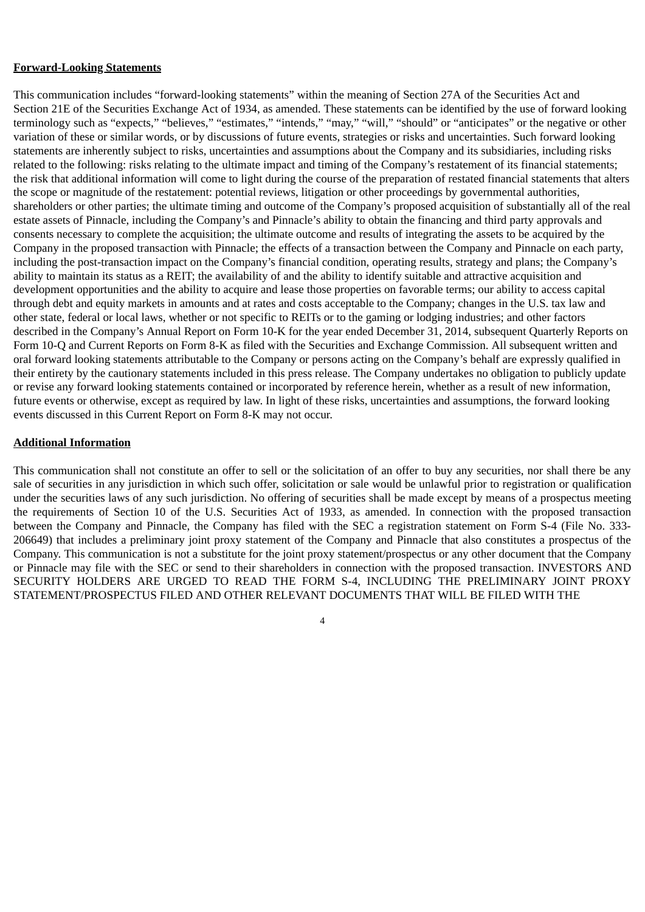#### **Forward-Looking Statements**

This communication includes "forward-looking statements" within the meaning of Section 27A of the Securities Act and Section 21E of the Securities Exchange Act of 1934, as amended. These statements can be identified by the use of forward looking terminology such as "expects," "believes," "estimates," "intends," "may," "will," "should" or "anticipates" or the negative or other variation of these or similar words, or by discussions of future events, strategies or risks and uncertainties. Such forward looking statements are inherently subject to risks, uncertainties and assumptions about the Company and its subsidiaries, including risks related to the following: risks relating to the ultimate impact and timing of the Company's restatement of its financial statements; the risk that additional information will come to light during the course of the preparation of restated financial statements that alters the scope or magnitude of the restatement: potential reviews, litigation or other proceedings by governmental authorities, shareholders or other parties; the ultimate timing and outcome of the Company's proposed acquisition of substantially all of the real estate assets of Pinnacle, including the Company's and Pinnacle's ability to obtain the financing and third party approvals and consents necessary to complete the acquisition; the ultimate outcome and results of integrating the assets to be acquired by the Company in the proposed transaction with Pinnacle; the effects of a transaction between the Company and Pinnacle on each party, including the post-transaction impact on the Company's financial condition, operating results, strategy and plans; the Company's ability to maintain its status as a REIT; the availability of and the ability to identify suitable and attractive acquisition and development opportunities and the ability to acquire and lease those properties on favorable terms; our ability to access capital through debt and equity markets in amounts and at rates and costs acceptable to the Company; changes in the U.S. tax law and other state, federal or local laws, whether or not specific to REITs or to the gaming or lodging industries; and other factors described in the Company's Annual Report on Form 10-K for the year ended December 31, 2014, subsequent Quarterly Reports on Form 10-Q and Current Reports on Form 8-K as filed with the Securities and Exchange Commission. All subsequent written and oral forward looking statements attributable to the Company or persons acting on the Company's behalf are expressly qualified in their entirety by the cautionary statements included in this press release. The Company undertakes no obligation to publicly update or revise any forward looking statements contained or incorporated by reference herein, whether as a result of new information, future events or otherwise, except as required by law. In light of these risks, uncertainties and assumptions, the forward looking events discussed in this Current Report on Form 8-K may not occur.

### **Additional Information**

This communication shall not constitute an offer to sell or the solicitation of an offer to buy any securities, nor shall there be any sale of securities in any jurisdiction in which such offer, solicitation or sale would be unlawful prior to registration or qualification under the securities laws of any such jurisdiction. No offering of securities shall be made except by means of a prospectus meeting the requirements of Section 10 of the U.S. Securities Act of 1933, as amended. In connection with the proposed transaction between the Company and Pinnacle, the Company has filed with the SEC a registration statement on Form S-4 (File No. 333- 206649) that includes a preliminary joint proxy statement of the Company and Pinnacle that also constitutes a prospectus of the Company. This communication is not a substitute for the joint proxy statement/prospectus or any other document that the Company or Pinnacle may file with the SEC or send to their shareholders in connection with the proposed transaction. INVESTORS AND SECURITY HOLDERS ARE URGED TO READ THE FORM S-4, INCLUDING THE PRELIMINARY JOINT PROXY STATEMENT/PROSPECTUS FILED AND OTHER RELEVANT DOCUMENTS THAT WILL BE FILED WITH THE

4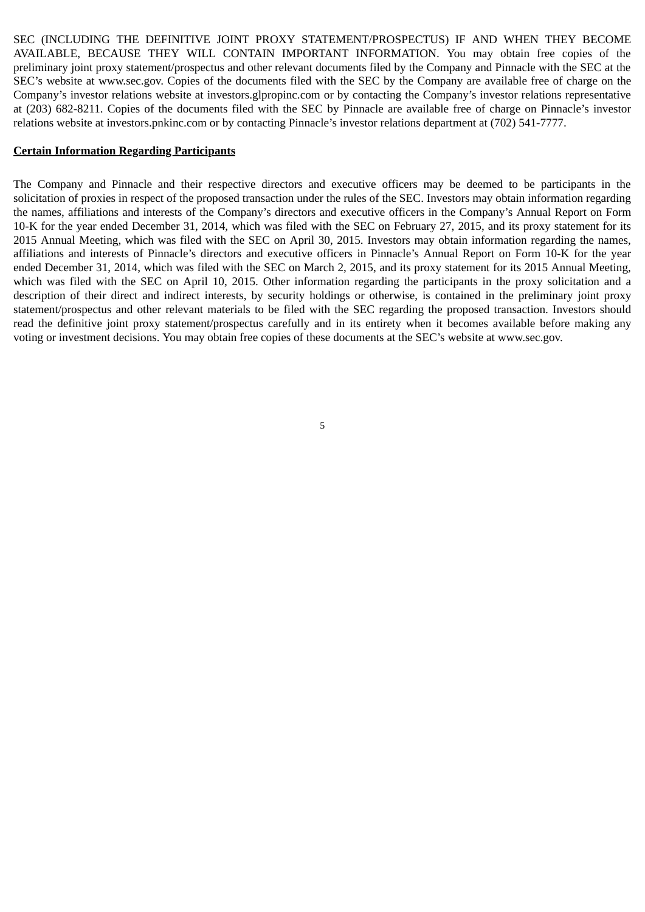SEC (INCLUDING THE DEFINITIVE JOINT PROXY STATEMENT/PROSPECTUS) IF AND WHEN THEY BECOME AVAILABLE, BECAUSE THEY WILL CONTAIN IMPORTANT INFORMATION. You may obtain free copies of the preliminary joint proxy statement/prospectus and other relevant documents filed by the Company and Pinnacle with the SEC at the SEC's website at www.sec.gov. Copies of the documents filed with the SEC by the Company are available free of charge on the Company's investor relations website at investors.glpropinc.com or by contacting the Company's investor relations representative at (203) 682-8211. Copies of the documents filed with the SEC by Pinnacle are available free of charge on Pinnacle's investor relations website at investors.pnkinc.com or by contacting Pinnacle's investor relations department at (702) 541-7777.

#### **Certain Information Regarding Participants**

The Company and Pinnacle and their respective directors and executive officers may be deemed to be participants in the solicitation of proxies in respect of the proposed transaction under the rules of the SEC. Investors may obtain information regarding the names, affiliations and interests of the Company's directors and executive officers in the Company's Annual Report on Form 10-K for the year ended December 31, 2014, which was filed with the SEC on February 27, 2015, and its proxy statement for its 2015 Annual Meeting, which was filed with the SEC on April 30, 2015. Investors may obtain information regarding the names, affiliations and interests of Pinnacle's directors and executive officers in Pinnacle's Annual Report on Form 10-K for the year ended December 31, 2014, which was filed with the SEC on March 2, 2015, and its proxy statement for its 2015 Annual Meeting, which was filed with the SEC on April 10, 2015. Other information regarding the participants in the proxy solicitation and a description of their direct and indirect interests, by security holdings or otherwise, is contained in the preliminary joint proxy statement/prospectus and other relevant materials to be filed with the SEC regarding the proposed transaction. Investors should read the definitive joint proxy statement/prospectus carefully and in its entirety when it becomes available before making any voting or investment decisions. You may obtain free copies of these documents at the SEC's website at www.sec.gov.